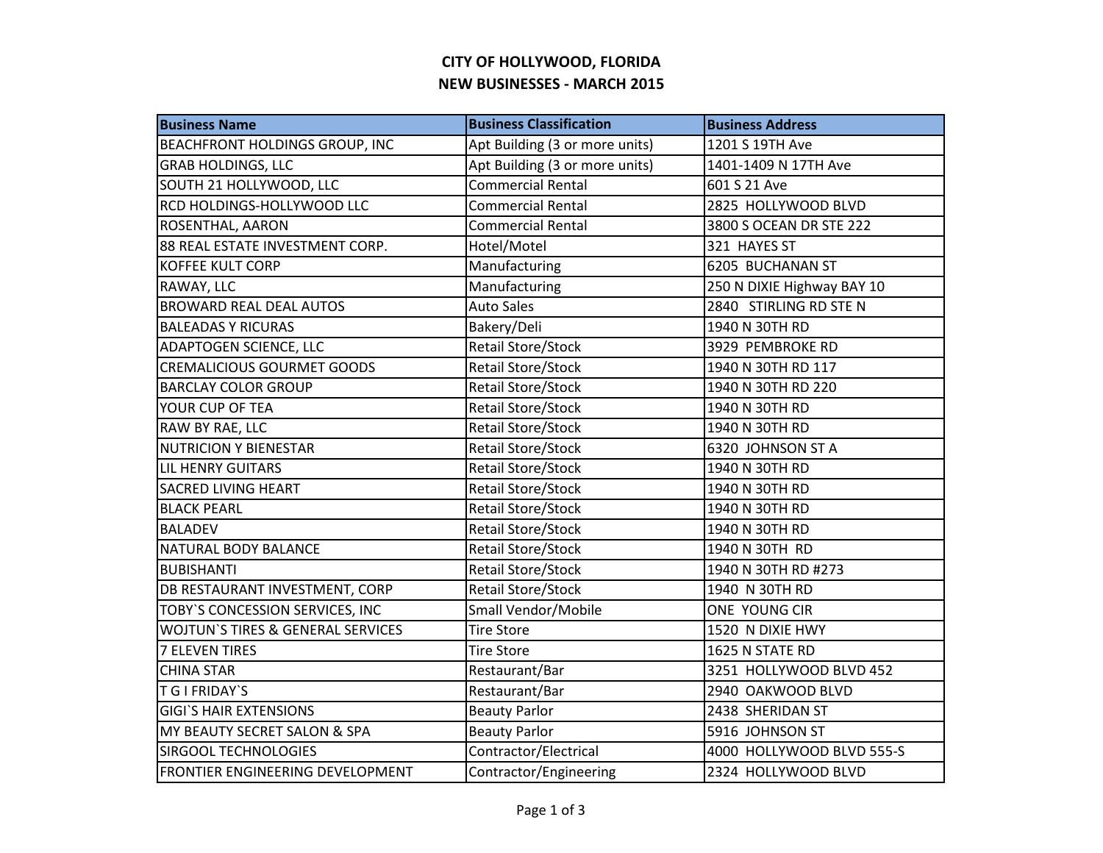## **CITY OF HOLLYWOOD, FLORIDA NEW BUSINESSES - MARCH 2015**

| <b>Business Name</b>                         | <b>Business Classification</b> | <b>Business Address</b>    |
|----------------------------------------------|--------------------------------|----------------------------|
| <b>BEACHFRONT HOLDINGS GROUP, INC</b>        | Apt Building (3 or more units) | 1201 S 19TH Ave            |
| <b>GRAB HOLDINGS, LLC</b>                    | Apt Building (3 or more units) | 1401-1409 N 17TH Ave       |
| SOUTH 21 HOLLYWOOD, LLC                      | <b>Commercial Rental</b>       | 601 S 21 Ave               |
| RCD HOLDINGS-HOLLYWOOD LLC                   | <b>Commercial Rental</b>       | 2825 HOLLYWOOD BLVD        |
| ROSENTHAL, AARON                             | <b>Commercial Rental</b>       | 3800 S OCEAN DR STE 222    |
| 88 REAL ESTATE INVESTMENT CORP.              | Hotel/Motel                    | 321 HAYES ST               |
| <b>KOFFEE KULT CORP</b>                      | Manufacturing                  | 6205 BUCHANAN ST           |
| RAWAY, LLC                                   | Manufacturing                  | 250 N DIXIE Highway BAY 10 |
| <b>BROWARD REAL DEAL AUTOS</b>               | <b>Auto Sales</b>              | 2840 STIRLING RD STE N     |
| <b>BALEADAS Y RICURAS</b>                    | Bakery/Deli                    | 1940 N 30TH RD             |
| <b>ADAPTOGEN SCIENCE, LLC</b>                | <b>Retail Store/Stock</b>      | 3929 PEMBROKE RD           |
| <b>CREMALICIOUS GOURMET GOODS</b>            | Retail Store/Stock             | 1940 N 30TH RD 117         |
| <b>BARCLAY COLOR GROUP</b>                   | <b>Retail Store/Stock</b>      | 1940 N 30TH RD 220         |
| YOUR CUP OF TEA                              | Retail Store/Stock             | 1940 N 30TH RD             |
| RAW BY RAE, LLC                              | <b>Retail Store/Stock</b>      | 1940 N 30TH RD             |
| <b>NUTRICION Y BIENESTAR</b>                 | <b>Retail Store/Stock</b>      | 6320 JOHNSON ST A          |
| <b>LIL HENRY GUITARS</b>                     | <b>Retail Store/Stock</b>      | 1940 N 30TH RD             |
| <b>SACRED LIVING HEART</b>                   | Retail Store/Stock             | 1940 N 30TH RD             |
| <b>BLACK PEARL</b>                           | <b>Retail Store/Stock</b>      | 1940 N 30TH RD             |
| <b>BALADEV</b>                               | <b>Retail Store/Stock</b>      | 1940 N 30TH RD             |
| NATURAL BODY BALANCE                         | Retail Store/Stock             | 1940 N 30TH RD             |
| <b>BUBISHANTI</b>                            | <b>Retail Store/Stock</b>      | 1940 N 30TH RD #273        |
| DB RESTAURANT INVESTMENT, CORP               | <b>Retail Store/Stock</b>      | 1940 N 30TH RD             |
| TOBY'S CONCESSION SERVICES, INC              | Small Vendor/Mobile            | ONE YOUNG CIR              |
| <b>WOJTUN'S TIRES &amp; GENERAL SERVICES</b> | <b>Tire Store</b>              | 1520 N DIXIE HWY           |
| 7 ELEVEN TIRES                               | <b>Tire Store</b>              | 1625 N STATE RD            |
| <b>CHINA STAR</b>                            | Restaurant/Bar                 | 3251 HOLLYWOOD BLVD 452    |
| <b>TGIFRIDAY'S</b>                           | Restaurant/Bar                 | 2940 OAKWOOD BLVD          |
| <b>GIGI'S HAIR EXTENSIONS</b>                | <b>Beauty Parlor</b>           | 2438 SHERIDAN ST           |
| MY BEAUTY SECRET SALON & SPA                 | <b>Beauty Parlor</b>           | 5916 JOHNSON ST            |
| <b>SIRGOOL TECHNOLOGIES</b>                  | Contractor/Electrical          | 4000 HOLLYWOOD BLVD 555-S  |
| FRONTIER ENGINEERING DEVELOPMENT             | Contractor/Engineering         | 2324 HOLLYWOOD BLVD        |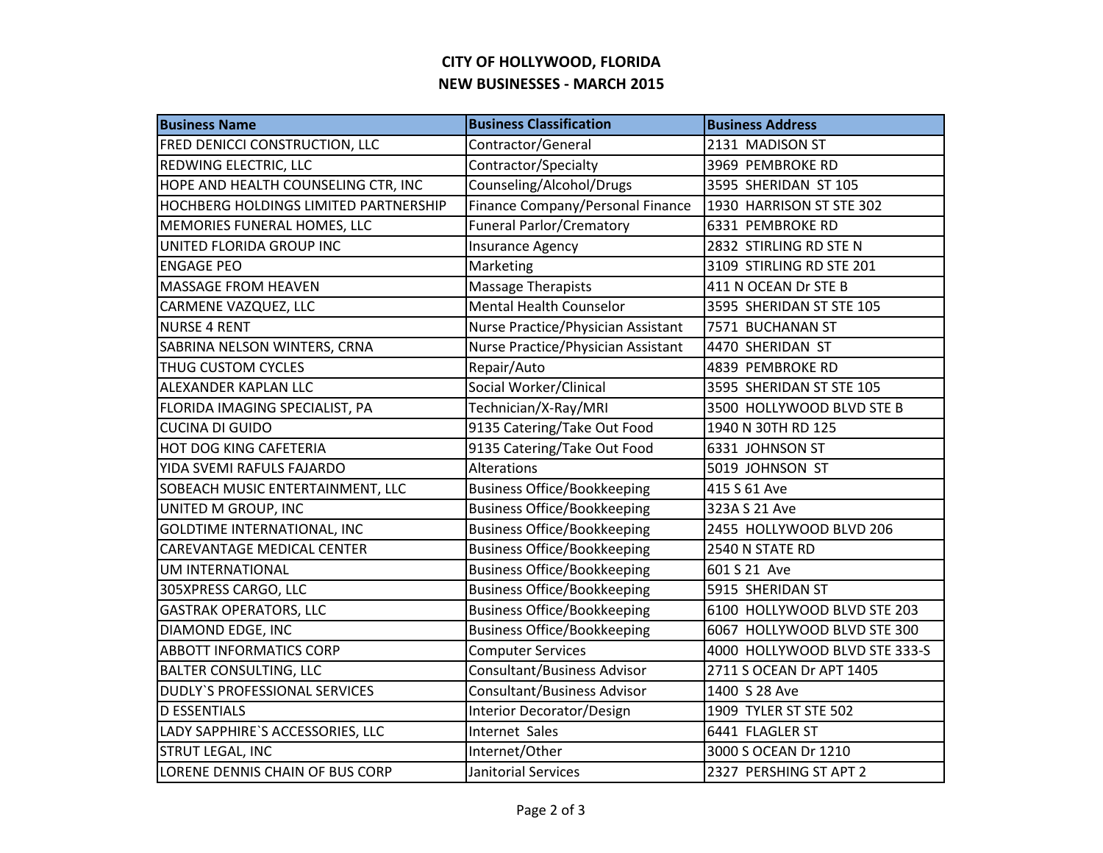## **CITY OF HOLLYWOOD, FLORIDA NEW BUSINESSES - MARCH 2015**

| <b>Business Name</b>                  | <b>Business Classification</b>     | <b>Business Address</b>       |
|---------------------------------------|------------------------------------|-------------------------------|
| FRED DENICCI CONSTRUCTION, LLC        | Contractor/General                 | 2131 MADISON ST               |
| REDWING ELECTRIC, LLC                 | Contractor/Specialty               | 3969 PEMBROKE RD              |
| HOPE AND HEALTH COUNSELING CTR, INC   | Counseling/Alcohol/Drugs           | 3595 SHERIDAN ST 105          |
| HOCHBERG HOLDINGS LIMITED PARTNERSHIP | Finance Company/Personal Finance   | 1930 HARRISON ST STE 302      |
| MEMORIES FUNERAL HOMES, LLC           | <b>Funeral Parlor/Crematory</b>    | 6331 PEMBROKE RD              |
| UNITED FLORIDA GROUP INC              | Insurance Agency                   | 2832 STIRLING RD STE N        |
| <b>ENGAGE PEO</b>                     | Marketing                          | 3109 STIRLING RD STE 201      |
| <b>MASSAGE FROM HEAVEN</b>            | <b>Massage Therapists</b>          | 411 N OCEAN Dr STE B          |
| CARMENE VAZQUEZ, LLC                  | <b>Mental Health Counselor</b>     | 3595 SHERIDAN ST STE 105      |
| <b>NURSE 4 RENT</b>                   | Nurse Practice/Physician Assistant | 7571 BUCHANAN ST              |
| SABRINA NELSON WINTERS, CRNA          | Nurse Practice/Physician Assistant | 4470 SHERIDAN ST              |
| THUG CUSTOM CYCLES                    | Repair/Auto                        | 4839 PEMBROKE RD              |
| ALEXANDER KAPLAN LLC                  | Social Worker/Clinical             | 3595 SHERIDAN ST STE 105      |
| FLORIDA IMAGING SPECIALIST, PA        | Technician/X-Ray/MRI               | 3500 HOLLYWOOD BLVD STE B     |
| <b>CUCINA DI GUIDO</b>                | 9135 Catering/Take Out Food        | 1940 N 30TH RD 125            |
| <b>HOT DOG KING CAFETERIA</b>         | 9135 Catering/Take Out Food        | 6331 JOHNSON ST               |
| YIDA SVEMI RAFULS FAJARDO             | <b>Alterations</b>                 | 5019 JOHNSON ST               |
| SOBEACH MUSIC ENTERTAINMENT, LLC      | <b>Business Office/Bookkeeping</b> | 415 S 61 Ave                  |
| UNITED M GROUP, INC                   | <b>Business Office/Bookkeeping</b> | 323A S 21 Ave                 |
| <b>GOLDTIME INTERNATIONAL, INC</b>    | <b>Business Office/Bookkeeping</b> | 2455 HOLLYWOOD BLVD 206       |
| CAREVANTAGE MEDICAL CENTER            | <b>Business Office/Bookkeeping</b> | 2540 N STATE RD               |
| UM INTERNATIONAL                      | <b>Business Office/Bookkeeping</b> | 601 S 21 Ave                  |
| 305XPRESS CARGO, LLC                  | <b>Business Office/Bookkeeping</b> | 5915 SHERIDAN ST              |
| <b>GASTRAK OPERATORS, LLC</b>         | <b>Business Office/Bookkeeping</b> | 6100 HOLLYWOOD BLVD STE 203   |
| DIAMOND EDGE, INC                     | <b>Business Office/Bookkeeping</b> | 6067 HOLLYWOOD BLVD STE 300   |
| <b>ABBOTT INFORMATICS CORP</b>        | <b>Computer Services</b>           | 4000 HOLLYWOOD BLVD STE 333-S |
| <b>BALTER CONSULTING, LLC</b>         | Consultant/Business Advisor        | 2711 S OCEAN Dr APT 1405      |
| DUDLY'S PROFESSIONAL SERVICES         | <b>Consultant/Business Advisor</b> | 1400 S 28 Ave                 |
| <b>D ESSENTIALS</b>                   | Interior Decorator/Design          | 1909 TYLER ST STE 502         |
| LADY SAPPHIRE'S ACCESSORIES, LLC      | Internet Sales                     | 6441 FLAGLER ST               |
| STRUT LEGAL, INC                      | Internet/Other                     | 3000 S OCEAN Dr 1210          |
| LORENE DENNIS CHAIN OF BUS CORP       | <b>Janitorial Services</b>         | 2327 PERSHING ST APT 2        |